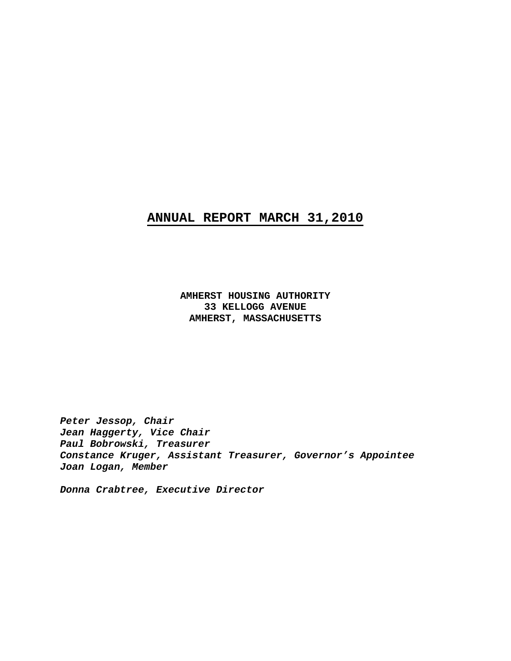# **ANNUAL REPORT MARCH 31,2010**

 **AMHERST HOUSING AUTHORITY 33 KELLOGG AVENUE AMHERST, MASSACHUSETTS** 

*Peter Jessop, Chair Jean Haggerty, Vice Chair Paul Bobrowski, Treasurer Constance Kruger, Assistant Treasurer, Governor's Appointee Joan Logan, Member* 

*Donna Crabtree, Executive Director*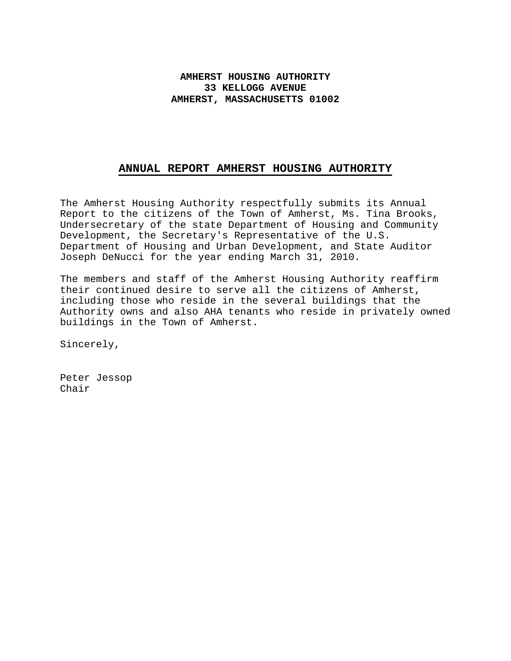# **AMHERST HOUSING AUTHORITY 33 KELLOGG AVENUE AMHERST, MASSACHUSETTS 01002**

### **ANNUAL REPORT AMHERST HOUSING AUTHORITY**

The Amherst Housing Authority respectfully submits its Annual Report to the citizens of the Town of Amherst, Ms. Tina Brooks, Undersecretary of the state Department of Housing and Community Development, the Secretary's Representative of the U.S. Department of Housing and Urban Development, and State Auditor Joseph DeNucci for the year ending March 31, 2010.

The members and staff of the Amherst Housing Authority reaffirm their continued desire to serve all the citizens of Amherst, including those who reside in the several buildings that the Authority owns and also AHA tenants who reside in privately owned buildings in the Town of Amherst.

Sincerely,

Peter Jessop Chair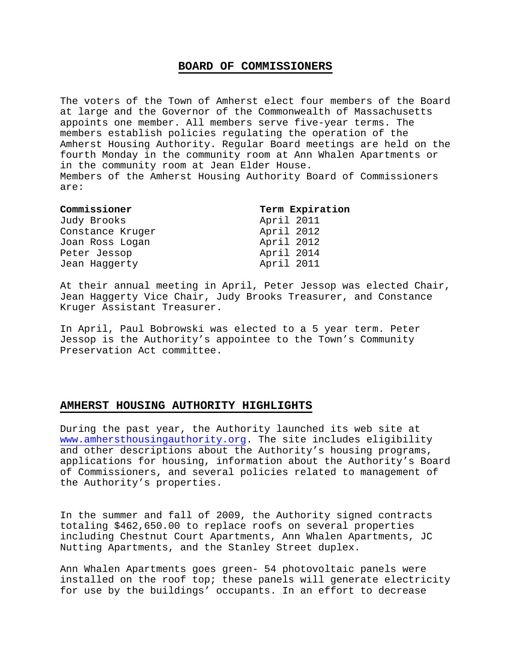#### **BOARD OF COMMISSIONERS**

The voters of the Town of Amherst elect four members of the Board at large and the Governor of the Commonwealth of Massachusetts appoints one member. All members serve five-year terms. The members establish policies regulating the operation of the Amherst Housing Authority. Regular Board meetings are held on the fourth Monday in the community room at Ann Whalen Apartments or in the community room at Jean Elder House. Members of the Amherst Housing Authority Board of Commissioners are:

| Commissioner     | Term Expiration |
|------------------|-----------------|
| Judy Brooks      | April 2011      |
| Constance Kruger | April 2012      |
| Joan Ross Logan  | April 2012      |
| Peter Jessop     | April 2014      |
| Jean Haggerty    | April 2011      |

At their annual meeting in April, Peter Jessop was elected Chair, Jean Haggerty Vice Chair, Judy Brooks Treasurer, and Constance Kruger Assistant Treasurer.

In April, Paul Bobrowski was elected to a 5 year term. Peter Jessop is the Authority's appointee to the Town's Community Preservation Act committee.

#### **AMHERST HOUSING AUTHORITY HIGHLIGHTS**

During the past year, the Authority launched its web site at www.amhersthousingauthority.org. The site includes eligibility and other descriptions about the Authority's housing programs, applications for housing, information about the Authority's Board of Commissioners, and several policies related to management of the Authority's properties.

In the summer and fall of 2009, the Authority signed contracts totaling \$462,650.00 to replace roofs on several properties including Chestnut Court Apartments, Ann Whalen Apartments, JC Nutting Apartments, and the Stanley Street duplex.

Ann Whalen Apartments goes green- 54 photovoltaic panels were installed on the roof top; these panels will generate electricity for use by the buildings' occupants. In an effort to decrease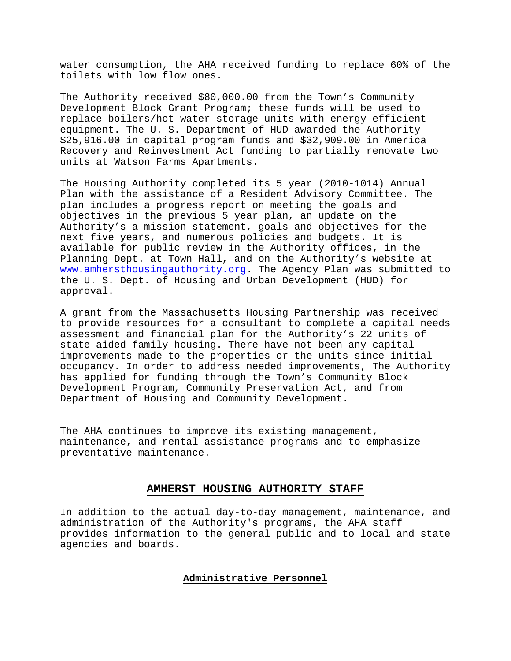water consumption, the AHA received funding to replace 60% of the toilets with low flow ones.

The Authority received \$80,000.00 from the Town's Community Development Block Grant Program; these funds will be used to replace boilers/hot water storage units with energy efficient equipment. The U. S. Department of HUD awarded the Authority \$25,916.00 in capital program funds and \$32,909.00 in America Recovery and Reinvestment Act funding to partially renovate two units at Watson Farms Apartments.

The Housing Authority completed its 5 year (2010-1014) Annual Plan with the assistance of a Resident Advisory Committee. The plan includes a progress report on meeting the goals and objectives in the previous 5 year plan, an update on the Authority's a mission statement, goals and objectives for the next five years, and numerous policies and budgets. It is available for public review in the Authority offices, in the Planning Dept. at Town Hall, and on the Authority's website at www.amhersthousingauthority.org. The Agency Plan was submitted to the U. S. Dept. of Housing and Urban Development (HUD) for approval.

A grant from the Massachusetts Housing Partnership was received to provide resources for a consultant to complete a capital needs assessment and financial plan for the Authority's 22 units of state-aided family housing. There have not been any capital improvements made to the properties or the units since initial occupancy. In order to address needed improvements, The Authority has applied for funding through the Town's Community Block Development Program, Community Preservation Act, and from Department of Housing and Community Development.

The AHA continues to improve its existing management, maintenance, and rental assistance programs and to emphasize preventative maintenance.

#### **AMHERST HOUSING AUTHORITY STAFF**

In addition to the actual day-to-day management, maintenance, and administration of the Authority's programs, the AHA staff provides information to the general public and to local and state agencies and boards.

### **Administrative Personnel**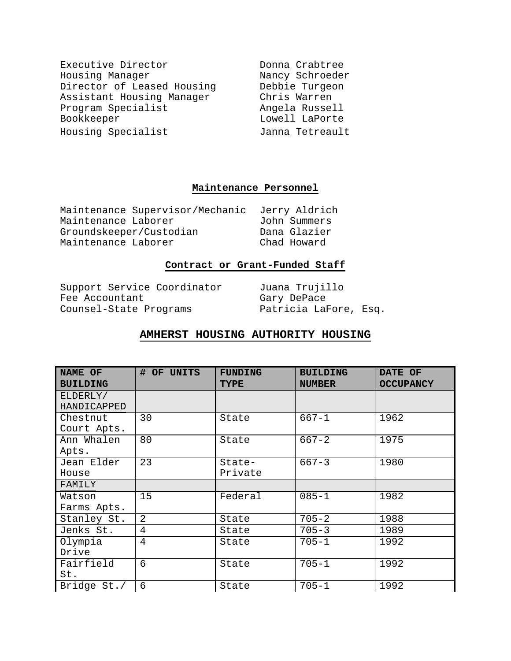| Executive Director         | Donna Crabtree  |
|----------------------------|-----------------|
| Housing Manager            | Nancy Schroeder |
| Director of Leased Housing | Debbie Turgeon  |
| Assistant Housing Manager  | Chris Warren    |
| Program Specialist         | Angela Russell  |
| Bookkeeper                 | Lowell LaPorte  |
| Housing Specialist         | Janna Tetreault |

# **Maintenance Personnel**

|                         | Maintenance Supervisor/Mechanic | Jerry Aldrich |
|-------------------------|---------------------------------|---------------|
| Maintenance Laborer     |                                 | John Summers  |
| Groundskeeper/Custodian |                                 | Dana Glazier  |
| Maintenance Laborer     |                                 | Chad Howard   |

# **Contract or Grant-Funded Staff**

Support Service Coordinator Juana Trujillo<br>Fee Accountant Gary DePace Fee Accountant Counsel-State Programs Patricia LaFore, Esq.

# **AMHERST HOUSING AUTHORITY HOUSING**

| NAME OF         | # OF UNITS | <b>FUNDING</b> | <b>BUILDING</b> | DATE OF          |
|-----------------|------------|----------------|-----------------|------------------|
| <b>BUILDING</b> |            | <b>TYPE</b>    | <b>NUMBER</b>   | <b>OCCUPANCY</b> |
| ELDERLY/        |            |                |                 |                  |
| HANDICAPPED     |            |                |                 |                  |
| Chestnut        | 30         | State          | $667 - 1$       | 1962             |
| Court Apts.     |            |                |                 |                  |
| Ann Whalen      | 80         | State          | $667 - 2$       | 1975             |
| Apts.           |            |                |                 |                  |
| Jean Elder      | 23         | State-         | $667 - 3$       | 1980             |
| House           |            | Private        |                 |                  |
| FAMILY          |            |                |                 |                  |
| Watson          | 15         | Federal        | $085 - 1$       | 1982             |
| Farms Apts.     |            |                |                 |                  |
| Stanley St.     | 2          | State          | $705 - 2$       | 1988             |
| Jenks St.       | 4          | State          | $705 - 3$       | 1989             |
| Olympia         | 4          | State          | $705 - 1$       | 1992             |
| Drive           |            |                |                 |                  |
| Fairfield       | 6          | State          | $705 - 1$       | 1992             |
| St.             |            |                |                 |                  |
| Bridge St./     | 6          | State          | $705 - 1$       | 1992             |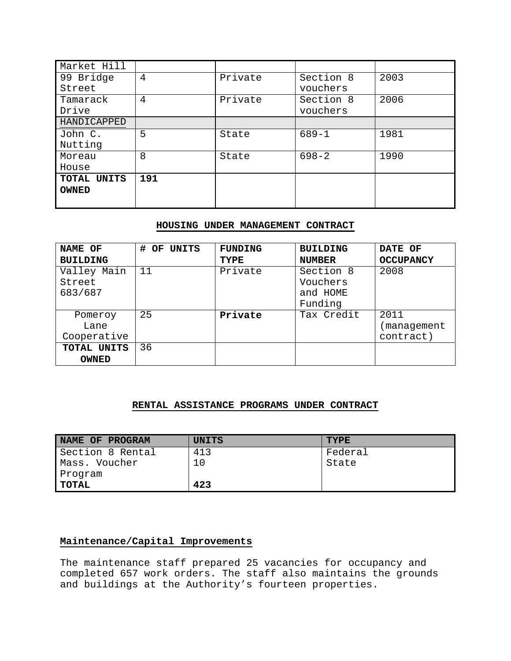| Market Hill  |     |         |           |      |
|--------------|-----|---------|-----------|------|
| 99 Bridge    | 4   | Private | Section 8 | 2003 |
| Street       |     |         | vouchers  |      |
| Tamarack     | 4   | Private | Section 8 | 2006 |
| Drive        |     |         | vouchers  |      |
| HANDICAPPED  |     |         |           |      |
| John C.      | 5   | State   | $689 - 1$ | 1981 |
| Nutting      |     |         |           |      |
| Moreau       | 8   | State   | $698 - 2$ | 1990 |
| House        |     |         |           |      |
| TOTAL UNITS  | 191 |         |           |      |
| <b>OWNED</b> |     |         |           |      |
|              |     |         |           |      |

### **HOUSING UNDER MANAGEMENT CONTRACT**

| NAME OF         | # OF UNITS | <b>FUNDING</b> | <b>BUILDING</b> | DATE OF          |
|-----------------|------------|----------------|-----------------|------------------|
| <b>BUILDING</b> |            | <b>TYPE</b>    | <b>NUMBER</b>   | <b>OCCUPANCY</b> |
| Valley Main     | 11         | Private        | Section 8       | 2008             |
| Street          |            |                | Vouchers        |                  |
| 683/687         |            |                | and HOME        |                  |
|                 |            |                | Funding         |                  |
| Pomeroy         | 25         | Private        | Tax Credit      | 2011             |
| Lane            |            |                |                 | management       |
| Cooperative     |            |                |                 | contract)        |
| TOTAL UNITS     | 36         |                |                 |                  |
| <b>OWNED</b>    |            |                |                 |                  |

### **RENTAL ASSISTANCE PROGRAMS UNDER CONTRACT**

| NAME OF PROGRAM  | <b>UNITS</b> | <b>TYPE</b> |
|------------------|--------------|-------------|
| Section 8 Rental | 413          | Federal     |
| Mass. Voucher    | 10           | State       |
| Program          |              |             |
| TOTAL            | 423          |             |

### **Maintenance/Capital Improvements**

The maintenance staff prepared 25 vacancies for occupancy and completed 657 work orders. The staff also maintains the grounds and buildings at the Authority's fourteen properties.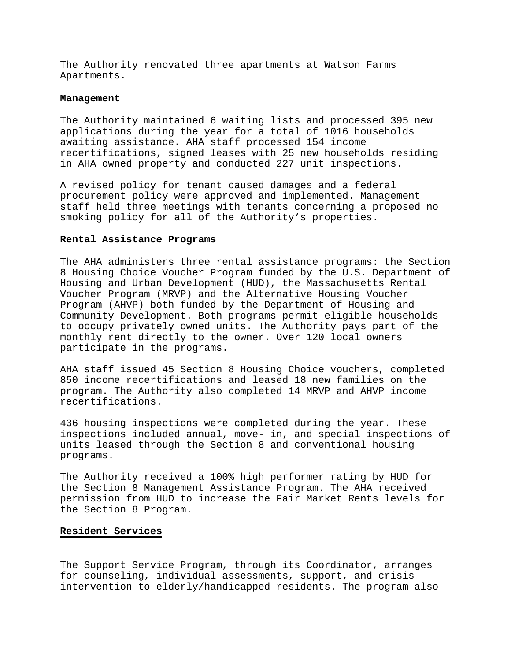The Authority renovated three apartments at Watson Farms Apartments.

#### **Management**

The Authority maintained 6 waiting lists and processed 395 new applications during the year for a total of 1016 households awaiting assistance. AHA staff processed 154 income recertifications, signed leases with 25 new households residing in AHA owned property and conducted 227 unit inspections.

A revised policy for tenant caused damages and a federal procurement policy were approved and implemented. Management staff held three meetings with tenants concerning a proposed no smoking policy for all of the Authority's properties.

#### **Rental Assistance Programs**

The AHA administers three rental assistance programs: the Section 8 Housing Choice Voucher Program funded by the U.S. Department of Housing and Urban Development (HUD), the Massachusetts Rental Voucher Program (MRVP) and the Alternative Housing Voucher Program (AHVP) both funded by the Department of Housing and Community Development. Both programs permit eligible households to occupy privately owned units. The Authority pays part of the monthly rent directly to the owner. Over 120 local owners participate in the programs.

AHA staff issued 45 Section 8 Housing Choice vouchers, completed 850 income recertifications and leased 18 new families on the program. The Authority also completed 14 MRVP and AHVP income recertifications.

436 housing inspections were completed during the year. These inspections included annual, move- in, and special inspections of units leased through the Section 8 and conventional housing programs.

The Authority received a 100% high performer rating by HUD for the Section 8 Management Assistance Program. The AHA received permission from HUD to increase the Fair Market Rents levels for the Section 8 Program.

#### **Resident Services**

The Support Service Program, through its Coordinator, arranges for counseling, individual assessments, support, and crisis intervention to elderly/handicapped residents. The program also